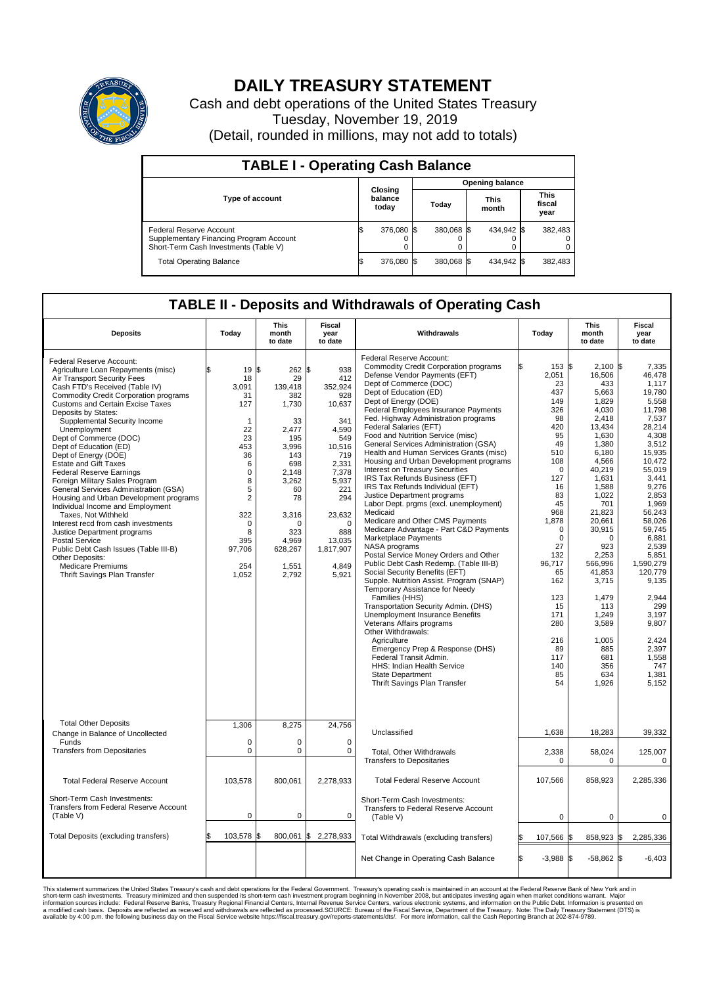

## **DAILY TREASURY STATEMENT**

Cash and debt operations of the United States Treasury Tuesday, November 19, 2019 (Detail, rounded in millions, may not add to totals)

| <b>TABLE I - Operating Cash Balance</b>                                                                     |  |                             |  |                        |  |                      |  |                               |  |  |  |
|-------------------------------------------------------------------------------------------------------------|--|-----------------------------|--|------------------------|--|----------------------|--|-------------------------------|--|--|--|
|                                                                                                             |  | Closing<br>balance<br>today |  | <b>Opening balance</b> |  |                      |  |                               |  |  |  |
| <b>Type of account</b>                                                                                      |  |                             |  | Today                  |  | <b>This</b><br>month |  | <b>This</b><br>fiscal<br>year |  |  |  |
| Federal Reserve Account<br>Supplementary Financing Program Account<br>Short-Term Cash Investments (Table V) |  | 376,080 \$                  |  | 380.068 \$             |  | 434.942 \$           |  | 382,483                       |  |  |  |
| <b>Total Operating Balance</b>                                                                              |  | 376,080 \$                  |  | 380,068 \$             |  | 434,942 \$           |  | 382,483                       |  |  |  |

## **TABLE II - Deposits and Withdrawals of Operating Cash**

| <b>Deposits</b>                                                                                                                                                                                                                                                                                                                                                                                                                                                                                                                                                                                                                                                                                                                                                                                                                                  | Today                                                                                                                                                                    | This<br>month<br>to date                                                                                                                                                             | Fiscal<br>year<br>to date                                                                                                                                                                        | Withdrawals                                                                                                                                                                                                                                                                                                                                                                                                                                                                                                                                                                                                                                                                                                                                                                                                                                                                                                                                                                                                                                                                                                                                                                                                                                                                                                    | Today                                                                                                                                                                                                                                                           | <b>This</b><br>month<br>to date                                                                                                                                                                                                                                                                                                   | Fiscal<br>year<br>to date                                                                                                                                                                                                                                                                                                                    |
|--------------------------------------------------------------------------------------------------------------------------------------------------------------------------------------------------------------------------------------------------------------------------------------------------------------------------------------------------------------------------------------------------------------------------------------------------------------------------------------------------------------------------------------------------------------------------------------------------------------------------------------------------------------------------------------------------------------------------------------------------------------------------------------------------------------------------------------------------|--------------------------------------------------------------------------------------------------------------------------------------------------------------------------|--------------------------------------------------------------------------------------------------------------------------------------------------------------------------------------|--------------------------------------------------------------------------------------------------------------------------------------------------------------------------------------------------|----------------------------------------------------------------------------------------------------------------------------------------------------------------------------------------------------------------------------------------------------------------------------------------------------------------------------------------------------------------------------------------------------------------------------------------------------------------------------------------------------------------------------------------------------------------------------------------------------------------------------------------------------------------------------------------------------------------------------------------------------------------------------------------------------------------------------------------------------------------------------------------------------------------------------------------------------------------------------------------------------------------------------------------------------------------------------------------------------------------------------------------------------------------------------------------------------------------------------------------------------------------------------------------------------------------|-----------------------------------------------------------------------------------------------------------------------------------------------------------------------------------------------------------------------------------------------------------------|-----------------------------------------------------------------------------------------------------------------------------------------------------------------------------------------------------------------------------------------------------------------------------------------------------------------------------------|----------------------------------------------------------------------------------------------------------------------------------------------------------------------------------------------------------------------------------------------------------------------------------------------------------------------------------------------|
| Federal Reserve Account:<br>Agriculture Loan Repayments (misc)<br>Air Transport Security Fees<br>Cash FTD's Received (Table IV)<br><b>Commodity Credit Corporation programs</b><br><b>Customs and Certain Excise Taxes</b><br>Deposits by States:<br>Supplemental Security Income<br>Unemployment<br>Dept of Commerce (DOC)<br>Dept of Education (ED)<br>Dept of Energy (DOE)<br><b>Estate and Gift Taxes</b><br><b>Federal Reserve Earnings</b><br>Foreign Military Sales Program<br>General Services Administration (GSA)<br>Housing and Urban Development programs<br>Individual Income and Employment<br>Taxes. Not Withheld<br>Interest recd from cash investments<br>Justice Department programs<br>Postal Service<br>Public Debt Cash Issues (Table III-B)<br>Other Deposits:<br><b>Medicare Premiums</b><br>Thrift Savings Plan Transfer | 19<br>18<br>3.091<br>31<br>127<br>1<br>22<br>23<br>453<br>36<br>6<br>$\mathbf 0$<br>8<br>5<br>$\overline{2}$<br>322<br>$\mathbf 0$<br>8<br>395<br>97,706<br>254<br>1,052 | 262 \$<br>1\$<br>29<br>139,418<br>382<br>1,730<br>33<br>2,477<br>195<br>3,996<br>143<br>698<br>2,148<br>3,262<br>60<br>78<br>3,316<br>0<br>323<br>4,969<br>628,267<br>1,551<br>2,792 | 938<br>412<br>352.924<br>928<br>10,637<br>341<br>4,590<br>549<br>10,516<br>719<br>2,331<br>7,378<br>5,937<br>221<br>294<br>23,632<br>$\mathbf 0$<br>888<br>13,035<br>1,817,907<br>4,849<br>5,921 | Federal Reserve Account:<br><b>Commodity Credit Corporation programs</b><br>Defense Vendor Payments (EFT)<br>Dept of Commerce (DOC)<br>Dept of Education (ED)<br>Dept of Energy (DOE)<br>Federal Employees Insurance Payments<br>Fed. Highway Administration programs<br>Federal Salaries (EFT)<br>Food and Nutrition Service (misc)<br>General Services Administration (GSA)<br>Health and Human Services Grants (misc)<br>Housing and Urban Development programs<br>Interest on Treasury Securities<br>IRS Tax Refunds Business (EFT)<br>IRS Tax Refunds Individual (EFT)<br>Justice Department programs<br>Labor Dept. prgms (excl. unemployment)<br>Medicaid<br>Medicare and Other CMS Payments<br>Medicare Advantage - Part C&D Payments<br>Marketplace Payments<br>NASA programs<br>Postal Service Money Orders and Other<br>Public Debt Cash Redemp. (Table III-B)<br>Social Security Benefits (EFT)<br>Supple. Nutrition Assist. Program (SNAP)<br>Temporary Assistance for Needy<br>Families (HHS)<br>Transportation Security Admin. (DHS)<br>Unemployment Insurance Benefits<br>Veterans Affairs programs<br>Other Withdrawals:<br>Agriculture<br>Emergency Prep & Response (DHS)<br>Federal Transit Admin.<br><b>HHS: Indian Health Service</b><br>State Department<br>Thrift Savings Plan Transfer | 153 S<br>2,051<br>23<br>437<br>149<br>326<br>98<br>420<br>95<br>49<br>510<br>108<br>$\mathbf 0$<br>127<br>16<br>83<br>45<br>968<br>1,878<br>0<br>$\Omega$<br>27<br>132<br>96,717<br>65<br>162<br>123<br>15<br>171<br>280<br>216<br>89<br>117<br>140<br>85<br>54 | $2,100$ \$<br>16,506<br>433<br>5,663<br>1,829<br>4,030<br>2,418<br>13,434<br>1,630<br>1,380<br>6,180<br>4,566<br>40,219<br>1,631<br>1,588<br>1,022<br>701<br>21,823<br>20,661<br>30,915<br>$\Omega$<br>923<br>2,253<br>566,996<br>41,853<br>3,715<br>1,479<br>113<br>1,249<br>3,589<br>1,005<br>885<br>681<br>356<br>634<br>1,926 | 7,335<br>46,478<br>1.117<br>19.780<br>5,558<br>11,798<br>7,537<br>28,214<br>4.308<br>3,512<br>15,935<br>10,472<br>55,019<br>3.441<br>9,276<br>2,853<br>1.969<br>56,243<br>58,026<br>59,745<br>6.881<br>2,539<br>5.851<br>1,590,279<br>120,779<br>9,135<br>2,944<br>299<br>3,197<br>9.807<br>2,424<br>2,397<br>1,558<br>747<br>1,381<br>5,152 |
| <b>Total Other Deposits</b><br>Change in Balance of Uncollected                                                                                                                                                                                                                                                                                                                                                                                                                                                                                                                                                                                                                                                                                                                                                                                  | 1,306                                                                                                                                                                    | 8,275                                                                                                                                                                                | 24,756                                                                                                                                                                                           | Unclassified                                                                                                                                                                                                                                                                                                                                                                                                                                                                                                                                                                                                                                                                                                                                                                                                                                                                                                                                                                                                                                                                                                                                                                                                                                                                                                   | 1,638                                                                                                                                                                                                                                                           | 18,283                                                                                                                                                                                                                                                                                                                            | 39,332                                                                                                                                                                                                                                                                                                                                       |
| Funds<br><b>Transfers from Depositaries</b>                                                                                                                                                                                                                                                                                                                                                                                                                                                                                                                                                                                                                                                                                                                                                                                                      | $\mathbf 0$<br>$\mathbf 0$                                                                                                                                               | $\Omega$<br>$\Omega$                                                                                                                                                                 | $\mathbf 0$<br>$\Omega$                                                                                                                                                                          | Total, Other Withdrawals<br><b>Transfers to Depositaries</b>                                                                                                                                                                                                                                                                                                                                                                                                                                                                                                                                                                                                                                                                                                                                                                                                                                                                                                                                                                                                                                                                                                                                                                                                                                                   | 2,338<br>$\mathbf 0$                                                                                                                                                                                                                                            | 58,024<br>0                                                                                                                                                                                                                                                                                                                       | 125,007<br>0                                                                                                                                                                                                                                                                                                                                 |
| <b>Total Federal Reserve Account</b>                                                                                                                                                                                                                                                                                                                                                                                                                                                                                                                                                                                                                                                                                                                                                                                                             | 103,578                                                                                                                                                                  | 800,061                                                                                                                                                                              | 2,278,933                                                                                                                                                                                        | <b>Total Federal Reserve Account</b>                                                                                                                                                                                                                                                                                                                                                                                                                                                                                                                                                                                                                                                                                                                                                                                                                                                                                                                                                                                                                                                                                                                                                                                                                                                                           | 107,566                                                                                                                                                                                                                                                         | 858,923                                                                                                                                                                                                                                                                                                                           | 2,285,336                                                                                                                                                                                                                                                                                                                                    |
| Short-Term Cash Investments:<br><b>Transfers from Federal Reserve Account</b><br>(Table V)                                                                                                                                                                                                                                                                                                                                                                                                                                                                                                                                                                                                                                                                                                                                                       | $\mathbf 0$                                                                                                                                                              | 0                                                                                                                                                                                    | 0                                                                                                                                                                                                | Short-Term Cash Investments:<br>Transfers to Federal Reserve Account<br>(Table V)                                                                                                                                                                                                                                                                                                                                                                                                                                                                                                                                                                                                                                                                                                                                                                                                                                                                                                                                                                                                                                                                                                                                                                                                                              | $\mathbf 0$                                                                                                                                                                                                                                                     | 0                                                                                                                                                                                                                                                                                                                                 | 0                                                                                                                                                                                                                                                                                                                                            |
| Total Deposits (excluding transfers)                                                                                                                                                                                                                                                                                                                                                                                                                                                                                                                                                                                                                                                                                                                                                                                                             | 103,578                                                                                                                                                                  | 800,061 \$                                                                                                                                                                           | 2,278,933                                                                                                                                                                                        | Total Withdrawals (excluding transfers)                                                                                                                                                                                                                                                                                                                                                                                                                                                                                                                                                                                                                                                                                                                                                                                                                                                                                                                                                                                                                                                                                                                                                                                                                                                                        | 107,566 \$                                                                                                                                                                                                                                                      | 858,923 \$                                                                                                                                                                                                                                                                                                                        | 2,285,336                                                                                                                                                                                                                                                                                                                                    |
|                                                                                                                                                                                                                                                                                                                                                                                                                                                                                                                                                                                                                                                                                                                                                                                                                                                  |                                                                                                                                                                          |                                                                                                                                                                                      |                                                                                                                                                                                                  | Net Change in Operating Cash Balance                                                                                                                                                                                                                                                                                                                                                                                                                                                                                                                                                                                                                                                                                                                                                                                                                                                                                                                                                                                                                                                                                                                                                                                                                                                                           | l\$<br>$-3,988$ \$                                                                                                                                                                                                                                              | $-58,862$ \$                                                                                                                                                                                                                                                                                                                      | $-6,403$                                                                                                                                                                                                                                                                                                                                     |

This statement summarizes the United States Treasury's cash and debt operations for the Federal Government. Treasury soperating in November 2008, but anticiarded in a cocount at the Federal metaformation sources investment